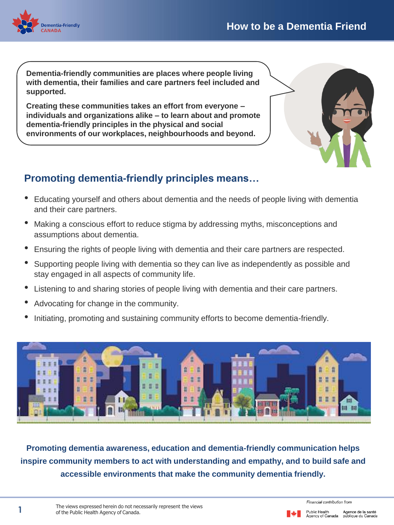

**Dementia-friendly communities are places where people living with dementia, their families and care partners feel included and supported.** 

**Creating these communities takes an effort from everyone – individuals and organizations alike – to learn about and promote dementia-friendly principles in the physical and social environments of our workplaces, neighbourhoods and beyond.**



## **Promoting dementia-friendly principles means…**

- Educating yourself and others about dementia and the needs of people living with dementia and their care partners.
- Making a conscious effort to reduce stigma by addressing myths, misconceptions and assumptions about dementia.
- Ensuring the rights of people living with dementia and their care partners are respected.
- Supporting people living with dementia so they can live as independently as possible and stay engaged in all aspects of community life.
- Listening to and sharing stories of people living with dementia and their care partners.
- Advocating for change in the community.
- Initiating, promoting and sustaining community efforts to become dementia-friendly.



**Promoting dementia awareness, education and dementia-friendly communication helps inspire community members to act with understanding and empathy, and to build safe and accessible environments that make the community dementia friendly.**

Agency of Canada publique du Canada

Agence de la santé

Public Health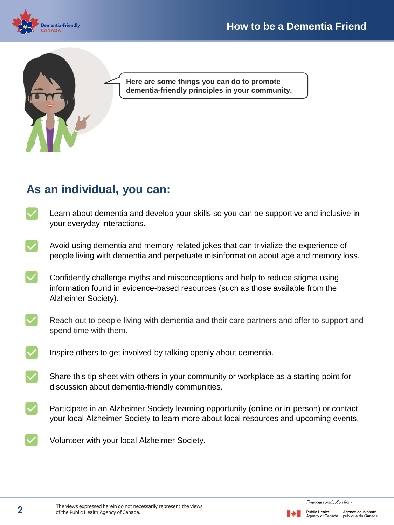



**Here are some things you can do to promote dementia-friendly principles in your community.**

## **As an individual, you can:**

- Learn about dementia and develop your skills so you can be supportive and inclusive in your everyday interactions.
- Avoid using dementia and memory-related jokes that can trivialize the experience of people living with dementia and perpetuate misinformation about age and memory loss.
- Confidently challenge myths and misconceptions and help to reduce stigma using information found in evidence-based resources (such as those available from the Alzheimer Society).
- $\vert\boldsymbol\vee\vert$ Reach out to people living with dementia and their care partners and offer to support and spend time with them.
- Inspire others to get involved by talking openly about dementia.
- Share this tip sheet with others in your community or workplace as a starting point for discussion about dementia-friendly communities.
- Participate in an Alzheimer Society learning opportunity (online or in-person) or contact your local Alzheimer Society to learn more about local resources and upcoming events.
	- Volunteer with your local Alzheimer Society.